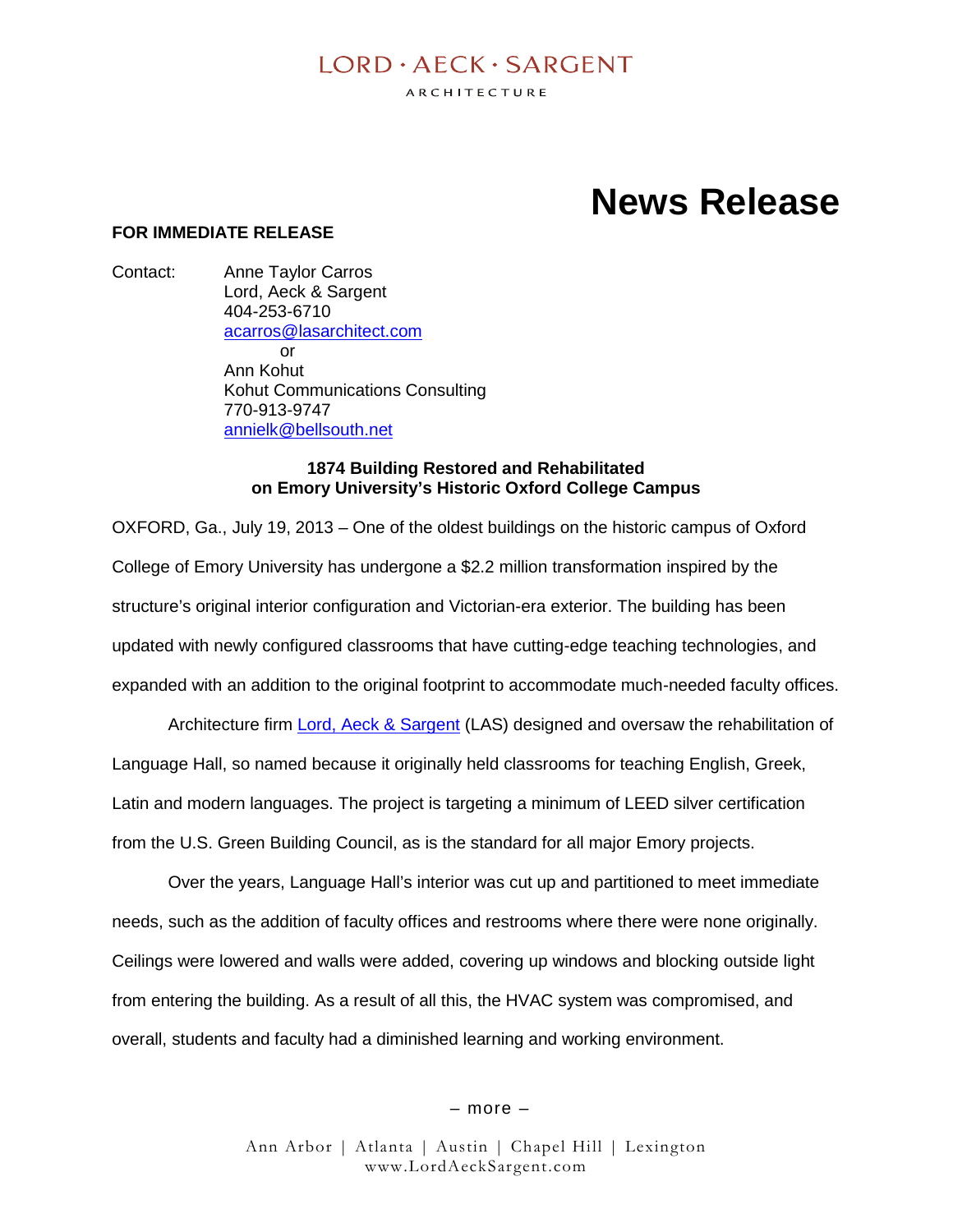# $I$  ORD  $\cdot$  AECK  $\cdot$  SARGENT

ARCHITECTURE

# **News Release**

# **FOR IMMEDIATE RELEASE**

Contact: Anne Taylor Carros Lord, Aeck & Sargent 404-253-6710 acarros@lasarchitect.com or Ann Kohut Kohut Communications Consulting 770-913-9747 annielk@bellsouth.net

#### **1874 Building Restored and Rehabilitated on Emory University's Historic Oxford College Campus**

OXFORD, Ga., July 19, 2013 – One of the oldest buildings on the historic campus of Oxford College of Emory University has undergone a \$2.2 million transformation inspired by the structure's original interior configuration and Victorian-era exterior. The building has been updated with newly configured classrooms that have cutting-edge teaching technologies, and expanded with an addition to the original footprint to accommodate much-needed faculty offices.

Architecture firm Lord, Aeck & Sargent (LAS) designed and oversaw the rehabilitation of Language Hall, so named because it originally held classrooms for teaching English, Greek, Latin and modern languages. The project is targeting a minimum of LEED silver certification from the U.S. Green Building Council, as is the standard for all major Emory projects.

Over the years, Language Hall's interior was cut up and partitioned to meet immediate needs, such as the addition of faculty offices and restrooms where there were none originally. Ceilings were lowered and walls were added, covering up windows and blocking outside light from entering the building. As a result of all this, the HVAC system was compromised, and overall, students and faculty had a diminished learning and working environment.

– more –

Ann Arbor | Atlanta | Austin | Chapel Hill | Lexington www.LordAeckSargent.com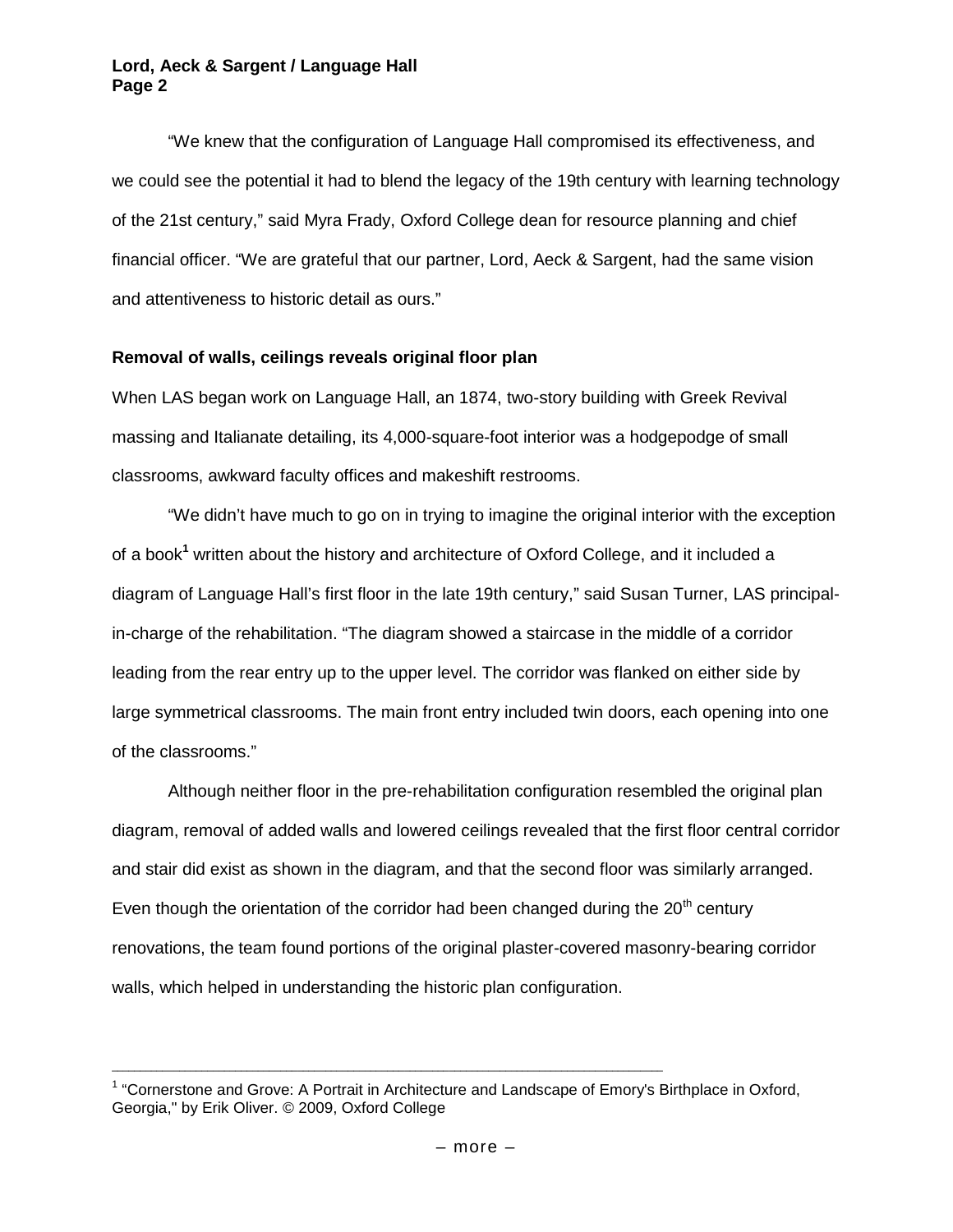"We knew that the configuration of Language Hall compromised its effectiveness, and we could see the potential it had to blend the legacy of the 19th century with learning technology of the 21st century," said Myra Frady, Oxford College dean for resource planning and chief financial officer. "We are grateful that our partner, Lord, Aeck & Sargent, had the same vision and attentiveness to historic detail as ours."

# **Removal of walls, ceilings reveals original floor plan**

When LAS began work on Language Hall, an 1874, two-story building with Greek Revival massing and Italianate detailing, its 4,000-square-foot interior was a hodgepodge of small classrooms, awkward faculty offices and makeshift restrooms.

"We didn't have much to go on in trying to imagine the original interior with the exception of a book**<sup>1</sup>** written about the history and architecture of Oxford College, and it included a diagram of Language Hall's first floor in the late 19th century," said Susan Turner, LAS principalin-charge of the rehabilitation. "The diagram showed a staircase in the middle of a corridor leading from the rear entry up to the upper level. The corridor was flanked on either side by large symmetrical classrooms. The main front entry included twin doors, each opening into one of the classrooms."

Although neither floor in the pre-rehabilitation configuration resembled the original plan diagram, removal of added walls and lowered ceilings revealed that the first floor central corridor and stair did exist as shown in the diagram, and that the second floor was similarly arranged. Even though the orientation of the corridor had been changed during the  $20<sup>th</sup>$  century renovations, the team found portions of the original plaster-covered masonry-bearing corridor walls, which helped in understanding the historic plan configuration.

\_\_\_\_\_\_\_\_\_\_\_\_\_\_\_\_\_\_\_\_\_\_\_\_\_\_\_\_\_\_\_\_\_\_\_\_\_\_\_\_\_\_\_\_\_\_\_\_\_\_\_\_\_\_\_\_\_\_\_\_\_\_\_\_\_\_\_\_\_\_\_\_\_\_\_\_\_\_\_\_\_\_\_\_\_\_\_\_\_\_\_\_\_\_\_\_\_\_

<sup>&</sup>lt;sup>1</sup> "Cornerstone and Grove: A Portrait in Architecture and Landscape of Emory's Birthplace in Oxford, Georgia," by Erik Oliver. © 2009, Oxford College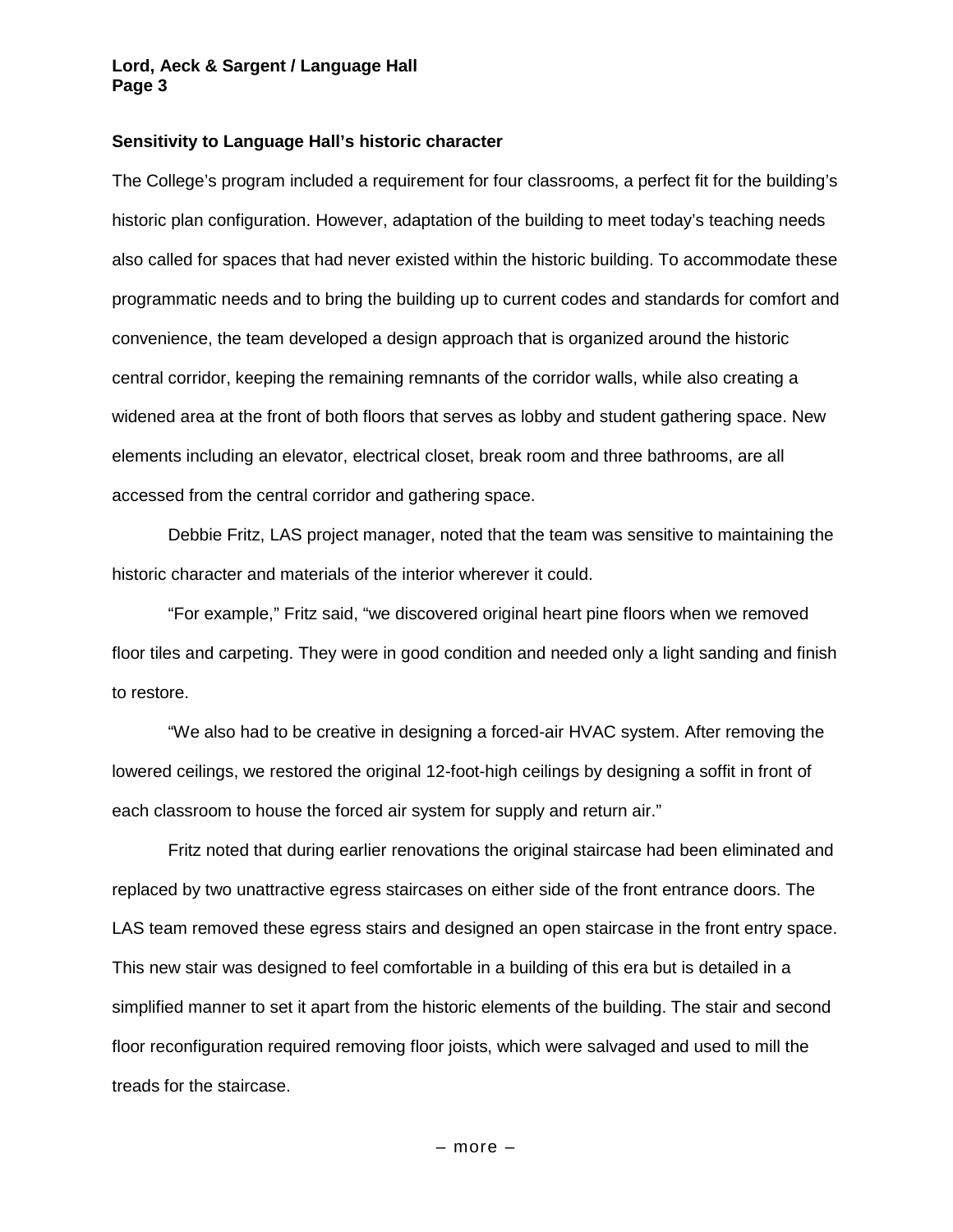#### **Sensitivity to Language Hall's historic character**

The College's program included a requirement for four classrooms, a perfect fit for the building's historic plan configuration. However, adaptation of the building to meet today's teaching needs also called for spaces that had never existed within the historic building. To accommodate these programmatic needs and to bring the building up to current codes and standards for comfort and convenience, the team developed a design approach that is organized around the historic central corridor, keeping the remaining remnants of the corridor walls, while also creating a widened area at the front of both floors that serves as lobby and student gathering space. New elements including an elevator, electrical closet, break room and three bathrooms, are all accessed from the central corridor and gathering space.

Debbie Fritz, LAS project manager, noted that the team was sensitive to maintaining the historic character and materials of the interior wherever it could.

"For example," Fritz said, "we discovered original heart pine floors when we removed floor tiles and carpeting. They were in good condition and needed only a light sanding and finish to restore.

"We also had to be creative in designing a forced-air HVAC system. After removing the lowered ceilings, we restored the original 12-foot-high ceilings by designing a soffit in front of each classroom to house the forced air system for supply and return air."

Fritz noted that during earlier renovations the original staircase had been eliminated and replaced by two unattractive egress staircases on either side of the front entrance doors. The LAS team removed these egress stairs and designed an open staircase in the front entry space. This new stair was designed to feel comfortable in a building of this era but is detailed in a simplified manner to set it apart from the historic elements of the building. The stair and second floor reconfiguration required removing floor joists, which were salvaged and used to mill the treads for the staircase.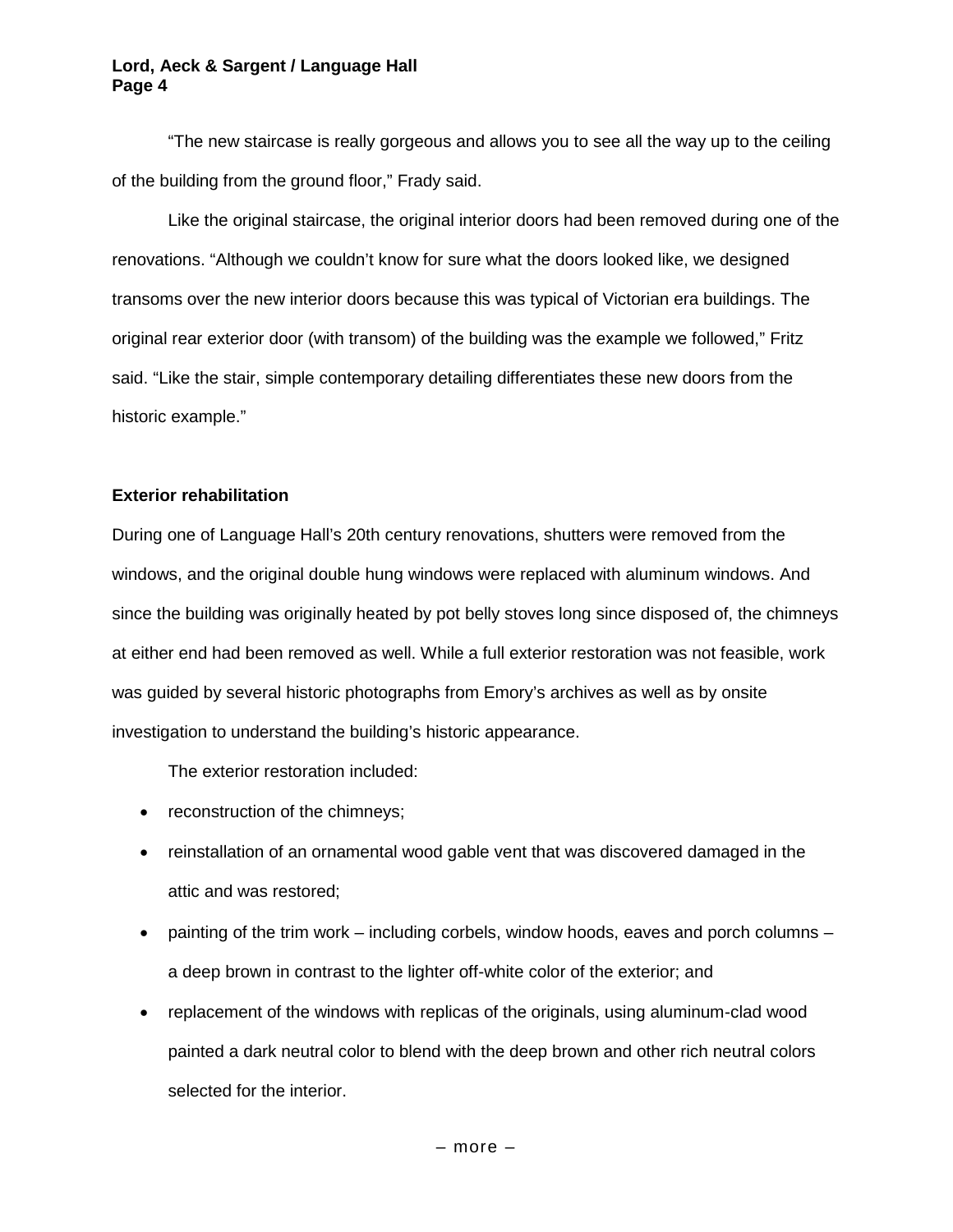"The new staircase is really gorgeous and allows you to see all the way up to the ceiling of the building from the ground floor," Frady said.

Like the original staircase, the original interior doors had been removed during one of the renovations. "Although we couldn't know for sure what the doors looked like, we designed transoms over the new interior doors because this was typical of Victorian era buildings. The original rear exterior door (with transom) of the building was the example we followed," Fritz said. "Like the stair, simple contemporary detailing differentiates these new doors from the historic example."

# **Exterior rehabilitation**

During one of Language Hall's 20th century renovations, shutters were removed from the windows, and the original double hung windows were replaced with aluminum windows. And since the building was originally heated by pot belly stoves long since disposed of, the chimneys at either end had been removed as well. While a full exterior restoration was not feasible, work was guided by several historic photographs from Emory's archives as well as by onsite investigation to understand the building's historic appearance.

The exterior restoration included:

- reconstruction of the chimneys;
- reinstallation of an ornamental wood gable vent that was discovered damaged in the attic and was restored;
- $\bullet$  painting of the trim work including corbels, window hoods, eaves and porch columns a deep brown in contrast to the lighter off-white color of the exterior; and
- replacement of the windows with replicas of the originals, using aluminum-clad wood painted a dark neutral color to blend with the deep brown and other rich neutral colors selected for the interior.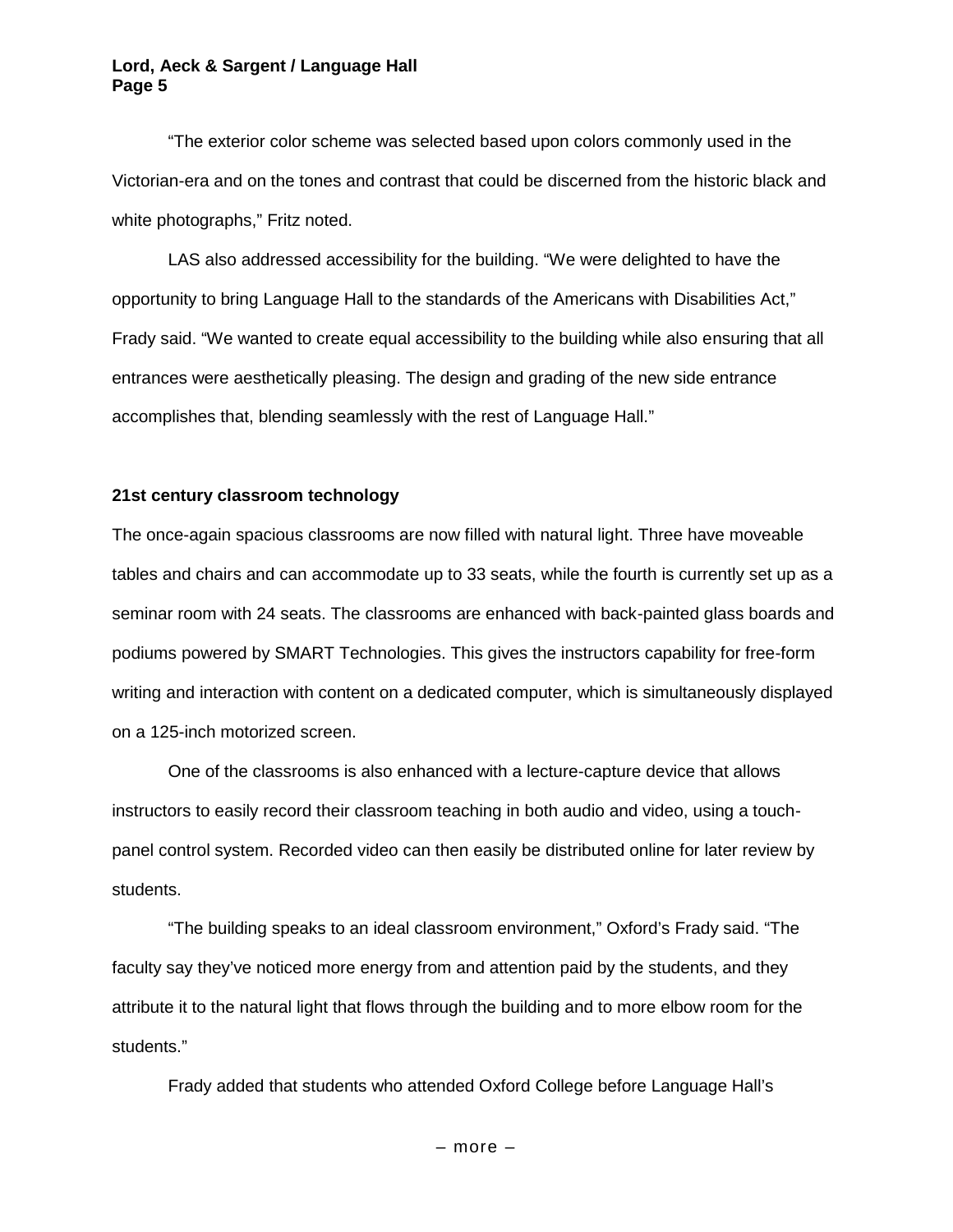"The exterior color scheme was selected based upon colors commonly used in the Victorian-era and on the tones and contrast that could be discerned from the historic black and white photographs," Fritz noted.

LAS also addressed accessibility for the building. "We were delighted to have the opportunity to bring Language Hall to the standards of the Americans with Disabilities Act," Frady said. "We wanted to create equal accessibility to the building while also ensuring that all entrances were aesthetically pleasing. The design and grading of the new side entrance accomplishes that, blending seamlessly with the rest of Language Hall."

#### **21st century classroom technology**

The once-again spacious classrooms are now filled with natural light. Three have moveable tables and chairs and can accommodate up to 33 seats, while the fourth is currently set up as a seminar room with 24 seats. The classrooms are enhanced with back-painted glass boards and podiums powered by SMART Technologies. This gives the instructors capability for free-form writing and interaction with content on a dedicated computer, which is simultaneously displayed on a 125-inch motorized screen.

One of the classrooms is also enhanced with a lecture-capture device that allows instructors to easily record their classroom teaching in both audio and video, using a touchpanel control system. Recorded video can then easily be distributed online for later review by students.

"The building speaks to an ideal classroom environment," Oxford's Frady said. "The faculty say they've noticed more energy from and attention paid by the students, and they attribute it to the natural light that flows through the building and to more elbow room for the students."

Frady added that students who attended Oxford College before Language Hall's

– more –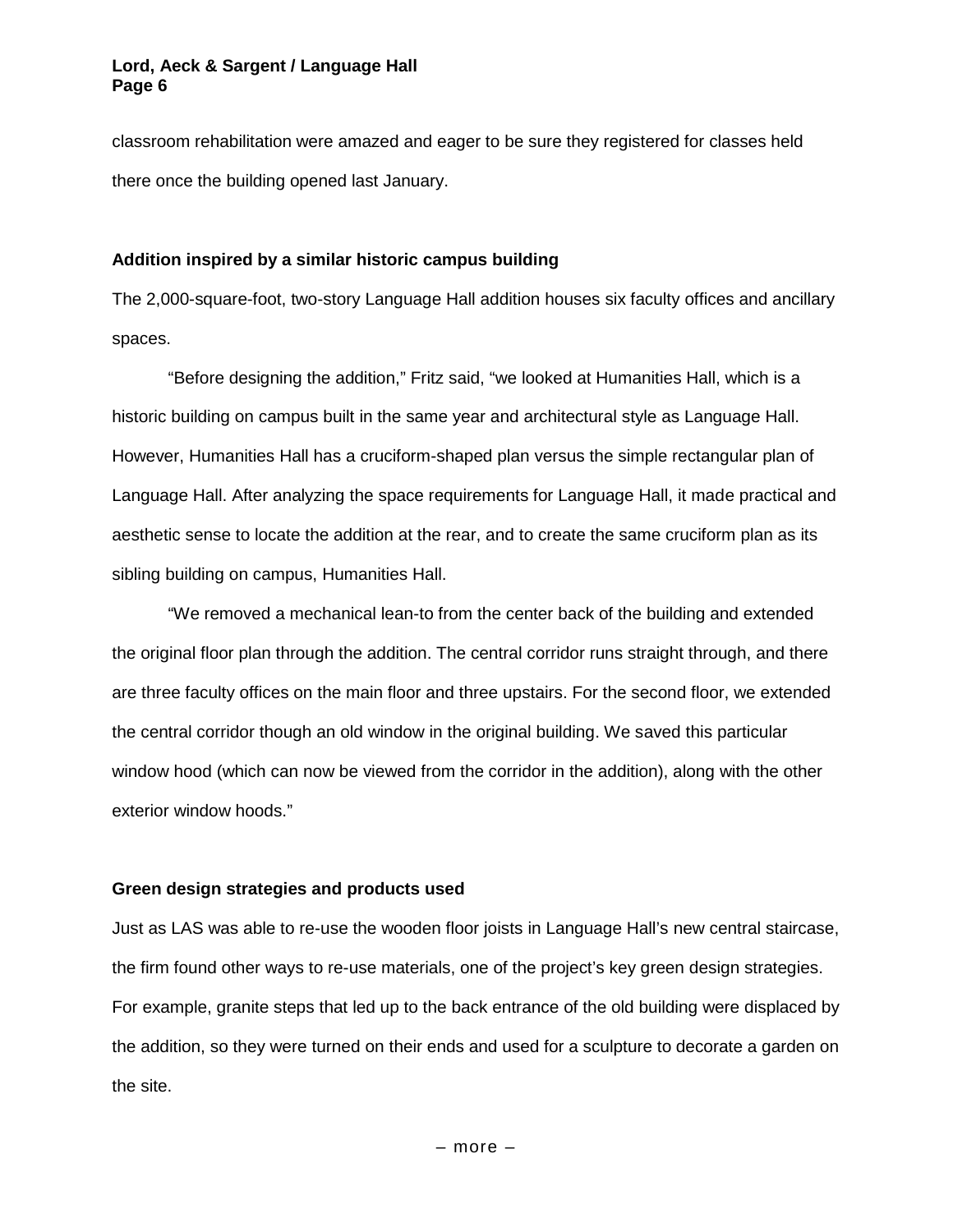classroom rehabilitation were amazed and eager to be sure they registered for classes held there once the building opened last January.

# **Addition inspired by a similar historic campus building**

The 2,000-square-foot, two-story Language Hall addition houses six faculty offices and ancillary spaces.

"Before designing the addition," Fritz said, "we looked at Humanities Hall, which is a historic building on campus built in the same year and architectural style as Language Hall. However, Humanities Hall has a cruciform-shaped plan versus the simple rectangular plan of Language Hall. After analyzing the space requirements for Language Hall, it made practical and aesthetic sense to locate the addition at the rear, and to create the same cruciform plan as its sibling building on campus, Humanities Hall.

"We removed a mechanical lean-to from the center back of the building and extended the original floor plan through the addition. The central corridor runs straight through, and there are three faculty offices on the main floor and three upstairs. For the second floor, we extended the central corridor though an old window in the original building. We saved this particular window hood (which can now be viewed from the corridor in the addition), along with the other exterior window hoods."

# **Green design strategies and products used**

Just as LAS was able to re-use the wooden floor joists in Language Hall's new central staircase, the firm found other ways to re-use materials, one of the project's key green design strategies. For example, granite steps that led up to the back entrance of the old building were displaced by the addition, so they were turned on their ends and used for a sculpture to decorate a garden on the site.